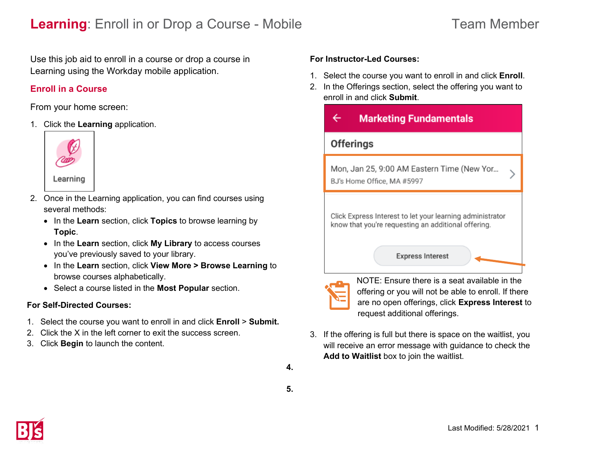# **Learning**: Enroll in or Drop a Course - Mobile Team Member

Use this job aid to enroll in a course or drop a course in Learning using the Workday mobile application.

## **Enroll in a Course**

From your home screen:

1. Click the **Learning** application.



Learning

- 2. Once in the Learning application, you can find courses using several methods:
	- In the **Learn** section, click **Topics** to browse learning by **Topic**.
	- In the **Learn** section, click **My Library** to access courses you've previously saved to your library.
	- In the **Learn** section, click **View More > Browse Learning** to browse courses alphabetically.
	- Select a course listed in the **Most Popular** section.

### **For Self-Directed Courses:**

- 1. Select the course you want to enroll in and click **Enroll** > **Submit.**
- 2. Click the X in the left corner to exit the success screen.
- 3. Click **Begin** to launch the content.

### **For Instructor-Led Courses:**

- 1. Select the course you want to enroll in and click **Enroll**.
- 2. In the Offerings section, select the offering you want to enroll in and click **Submit**.





NOTE: Ensure there is a seat available in the offering or you will not be able to enroll. If there are no open offerings, click **Express Interest** to request additional offerings.

3. If the offering is full but there is space on the waitlist, you will receive an error message with guidance to check the **Add to Waitlist** box to join the waitlist.

**4.**

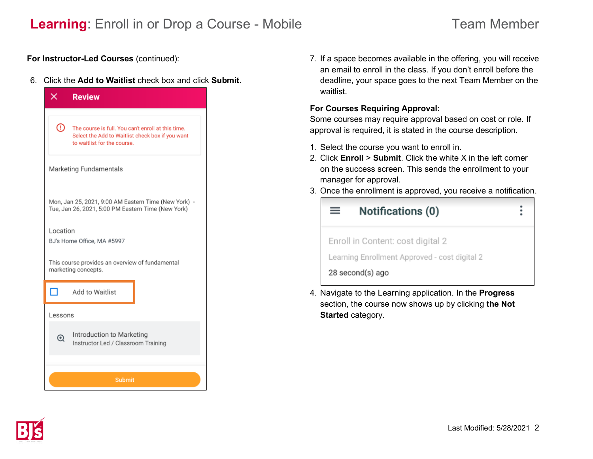## **Learning**: Enroll in or Drop a Course - Mobile Team Member

**For Instructor-Led Courses** (continued):

6. Click the **Add to Waitlist** check box and click **Submit**.

| ×<br><b>Review</b>                                                                                                                         |  |  |  |
|--------------------------------------------------------------------------------------------------------------------------------------------|--|--|--|
| ⊙<br>The course is full. You can't enroll at this time.<br>Select the Add to Waitlist check box if you want<br>to waitlist for the course. |  |  |  |
| Marketing Fundamentals                                                                                                                     |  |  |  |
| Mon, Jan 25, 2021, 9:00 AM Eastern Time (New York) -<br>Tue, Jan 26, 2021, 5:00 PM Eastern Time (New York)                                 |  |  |  |
| Location<br>BJ's Home Office, MA #5997                                                                                                     |  |  |  |
| This course provides an overview of fundamental<br>marketing concepts.                                                                     |  |  |  |
| П<br>Add to Waitlist                                                                                                                       |  |  |  |
| Lessons                                                                                                                                    |  |  |  |
| Introduction to Marketing<br>$^\copyright$<br>Instructor Led / Classroom Training                                                          |  |  |  |
| <b>Submit</b>                                                                                                                              |  |  |  |

7. If a space becomes available in the offering, you will receive an email to enroll in the class. If you don't enroll before the deadline, your space goes to the next Team Member on the waitlist.

### **For Courses Requiring Approval:**

Some courses may require approval based on cost or role. If approval is required, it is stated in the course description.

- 1. Select the course you want to enroll in.
- 2. Click **Enroll** > **Submit**. Click the white X in the left corner on the success screen. This sends the enrollment to your manager for approval.
- 3. Once the enrollment is approved, you receive a notification.



4. Navigate to the Learning application. In the **Progress** section, the course now shows up by clicking **the Not Started** category.